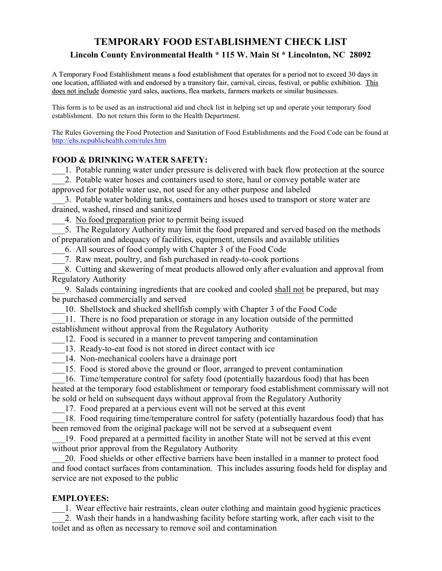# TEMPORARY FOOD ESTABLISHMENT CHECK LIST Lincoln County Environmental Health \* 115 W. Main St \* Lincolnton, NC 28092

A Temporary Food Establishment means a food establishment that operates for a period not to exceed 30 days in one location, affiliated with and endorsed by a transitory fair, carnival, circus, festival, or public exhibition. This does not include domestic yard sales, auctions, flea markets, farmers markets or similar businesses.

This form is to be used as an instructional aid and check list in helping set up and operate your temporary food establishment. Do not return this form to the Health Department.

The Rules Governing the Food Protection and Sanitation of Food Establishments and the Food Code can be found at http://ehs.ncpublichealth.com/rules.htm

### FOOD & DRINKING WATER SAFETY:

1. Potable running water under pressure is delivered with back flow protection at the source

2. Potable water hoses and containers used to store, haul or convey potable water are approved for potable water use, not used for any other purpose and labeled

\_\_\_3. Potable water holding tanks, containers and hoses used to transport or store water are drained, washed, rinsed and sanitized

\_\_\_4. No food preparation prior to permit being issued

5. The Regulatory Authority may limit the food prepared and served based on the methods of preparation and adequacy of facilities, equipment, utensils and available utilities

\_\_\_6. All sources of food comply with Chapter 3 of the Food Code

\_\_\_7. Raw meat, poultry, and fish purchased in ready-to-cook portions

\_\_\_8. Cutting and skewering of meat products allowed only after evaluation and approval from Regulatory Authority

9. Salads containing ingredients that are cooked and cooled shall not be prepared, but may be purchased commercially and served

10. Shellstock and shucked shellfish comply with Chapter 3 of the Food Code

11. There is no food preparation or storage in any location outside of the permitted

establishment without approval from the Regulatory Authority

12. Food is secured in a manner to prevent tampering and contamination

13. Ready-to-eat food is not stored in direct contact with ice

14. Non-mechanical coolers have a drainage port

15. Food is stored above the ground or floor, arranged to prevent contamination

16. Time/temperature control for safety food (potentially hazardous food) that has been heated at the temporary food establishment or temporary food establishment commissary will not be sold or held on subsequent days without approval from the Regulatory Authority

17. Food prepared at a pervious event will not be served at this event

18. Food requiring time/temperature control for safety (potentially hazardous food) that has been removed from the original package will not be served at a subsequent event

19. Food prepared at a permitted facility in another State will not be served at this event without prior approval from the Regulatory Authority

\_\_\_20. Food shields or other effective barriers have been installed in a manner to protect food and food contact surfaces from contamination. This includes assuring foods held for display and service are not exposed to the public

## EMPLOYEES:

\_\_\_1. Wear effective hair restraints, clean outer clothing and maintain good hygienic practices \_\_\_2. Wash their hands in a handwashing facility before starting work, after each visit to the toilet and as often as necessary to remove soil and contamination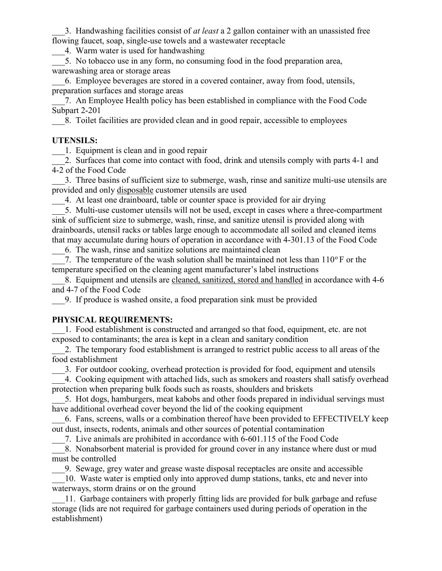3. Handwashing facilities consist of *at least* a 2 gallon container with an unassisted free flowing faucet, soap, single-use towels and a wastewater receptacle

\_\_\_4. Warm water is used for handwashing

5. No tobacco use in any form, no consuming food in the food preparation area, warewashing area or storage areas

\_\_\_6. Employee beverages are stored in a covered container, away from food, utensils, preparation surfaces and storage areas

\_\_\_7. An Employee Health policy has been established in compliance with the Food Code Subpart 2-201

\_\_\_8. Toilet facilities are provided clean and in good repair, accessible to employees

# UTENSILS:

1. Equipment is clean and in good repair

2. Surfaces that come into contact with food, drink and utensils comply with parts 4-1 and 4-2 of the Food Code

\_\_\_3. Three basins of sufficient size to submerge, wash, rinse and sanitize multi-use utensils are provided and only disposable customer utensils are used

4. At least one drainboard, table or counter space is provided for air drying

5. Multi-use customer utensils will not be used, except in cases where a three-compartment sink of sufficient size to submerge, wash, rinse, and sanitize utensil is provided along with drainboards, utensil racks or tables large enough to accommodate all soiled and cleaned items that may accumulate during hours of operation in accordance with 4-301.13 of the Food Code

\_\_\_6. The wash, rinse and sanitize solutions are maintained clean

7. The temperature of the wash solution shall be maintained not less than  $110^{\circ}$  F or the temperature specified on the cleaning agent manufacturer's label instructions

8. Equipment and utensils are cleaned, sanitized, stored and handled in accordance with 4-6 and 4-7 of the Food Code

\_\_\_9. If produce is washed onsite, a food preparation sink must be provided

## PHYSICAL REQUIREMENTS:

1. Food establishment is constructed and arranged so that food, equipment, etc. are not exposed to contaminants; the area is kept in a clean and sanitary condition

\_\_\_2. The temporary food establishment is arranged to restrict public access to all areas of the food establishment

\_\_\_3. For outdoor cooking, overhead protection is provided for food, equipment and utensils

4. Cooking equipment with attached lids, such as smokers and roasters shall satisfy overhead protection when preparing bulk foods such as roasts, shoulders and briskets

5. Hot dogs, hamburgers, meat kabobs and other foods prepared in individual servings must have additional overhead cover beyond the lid of the cooking equipment

\_\_\_6. Fans, screens, walls or a combination thereof have been provided to EFFECTIVELY keep out dust, insects, rodents, animals and other sources of potential contamination

\_\_\_7. Live animals are prohibited in accordance with 6-601.115 of the Food Code

\_\_\_8. Nonabsorbent material is provided for ground cover in any instance where dust or mud must be controlled

\_\_\_9. Sewage, grey water and grease waste disposal receptacles are onsite and accessible

10. Waste water is emptied only into approved dump stations, tanks, etc and never into waterways, storm drains or on the ground

11. Garbage containers with properly fitting lids are provided for bulk garbage and refuse storage (lids are not required for garbage containers used during periods of operation in the establishment)